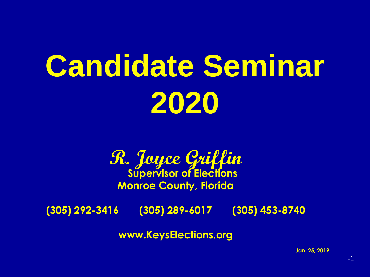# **Candidate Seminar 2020**



**(305) 292-3416 (305) 289-6017 (305) 453-8740**

**www.KeysElections.org**

**Jan. 25, 2019**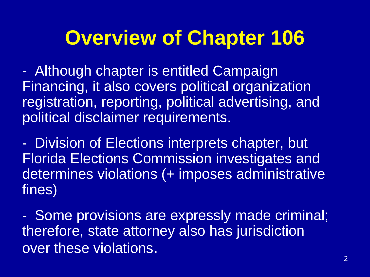### **Overview of Chapter 106**

- Although chapter is entitled Campaign Financing, it also covers political organization registration, reporting, political advertising, and political disclaimer requirements.

- Division of Elections interprets chapter, but Florida Elections Commission investigates and determines violations (+ imposes administrative fines)

- Some provisions are expressly made criminal; therefore, state attorney also has jurisdiction over these violations.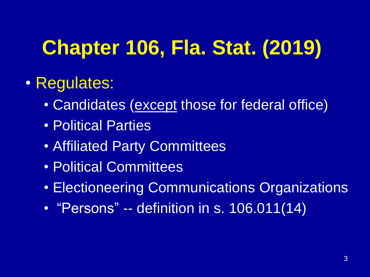# **Chapter 106, Fla. Stat. (2019)**

#### • Regulates:

- Candidates (except those for federal office)
- Political Parties
- Affiliated Party Committees
- Political Committees
- Electioneering Communications Organizations
- "Persons" -- definition in s. 106.011(14)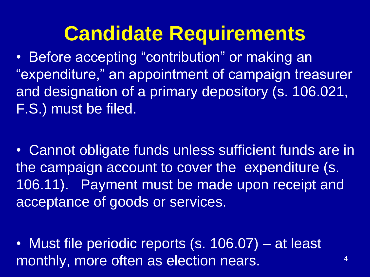### **Candidate Requirements**

• Before accepting "contribution" or making an "expenditure," an appointment of campaign treasurer and designation of a primary depository (s. 106.021, F.S.) must be filed.

• Cannot obligate funds unless sufficient funds are in the campaign account to cover the expenditure (s. 106.11). Payment must be made upon receipt and acceptance of goods or services.

• Must file periodic reports (s. 106.07) – at least monthly, more often as election nears.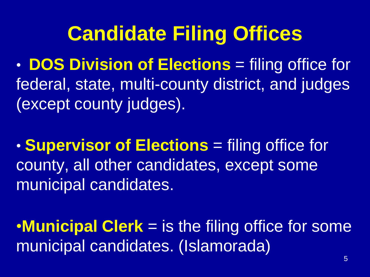### **Candidate Filing Offices**

• **DOS Division of Elections** = filing office for federal, state, multi-county district, and judges (except county judges).

• **Supervisor of Elections** = filing office for county, all other candidates, except some municipal candidates.

•**Municipal Clerk** = is the filing office for some municipal candidates. (Islamorada)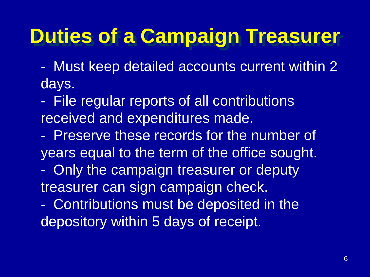## **Duties of a Campaign Treasurer**

- Must keep detailed accounts current within 2 days.
- File regular reports of all contributions received and expenditures made.
- Preserve these records for the number of years equal to the term of the office sought.
- Only the campaign treasurer or deputy treasurer can sign campaign check.
- Contributions must be deposited in the depository within 5 days of receipt.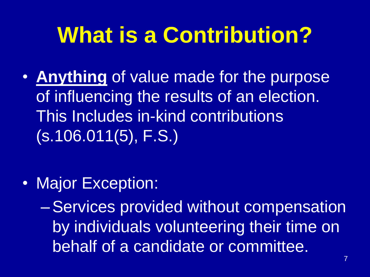# **What is a Contribution?**

• **Anything** of value made for the purpose of influencing the results of an election. This Includes in-kind contributions (s.106.011(5), F.S.)

• Major Exception:

–Services provided without compensation by individuals volunteering their time on behalf of a candidate or committee.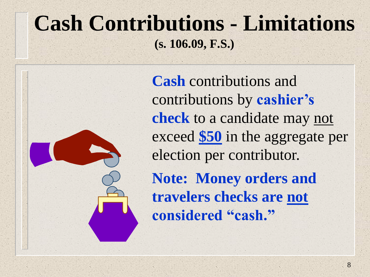### **Cash Contributions - Limitations (s. 106.09, F.S.)**

**Cash** contributions and contributions by **cashier's check** to a candidate may not exceed **\$50** in the aggregate per election per contributor. **Note: Money orders and travelers checks are not considered "cash."**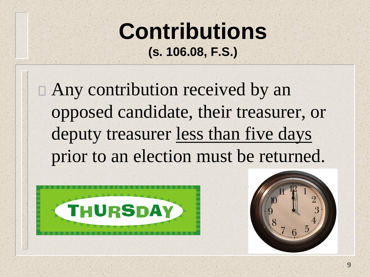### **Contributions (s. 106.08, F.S.)**

Any contribution received by an opposed candidate, their treasurer, or deputy treasurer less than five days prior to an election must be returned.



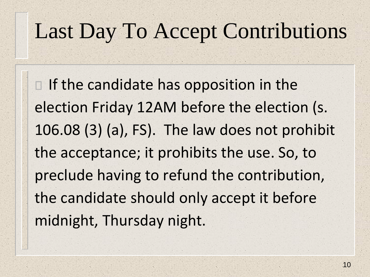## Last Day To Accept Contributions

 $\Box$  If the candidate has opposition in the election Friday 12AM before the election (s. 106.08 (3) (a), FS). The law does not prohibit the acceptance; it prohibits the use. So, to preclude having to refund the contribution, the candidate should only accept it before midnight, Thursday night.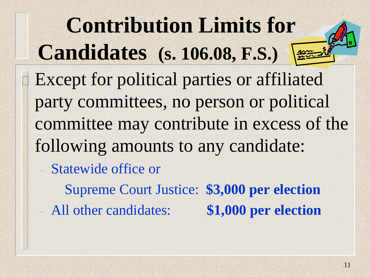**Contribution Limits for Candidates (s. 106.08, F.S.)** Except for political parties or affiliated party committees, no person or political committee may contribute in excess of the following amounts to any candidate: – Statewide office or

Supreme Court Justice: **\$3,000 per election** – All other candidates: **\$1,000 per election**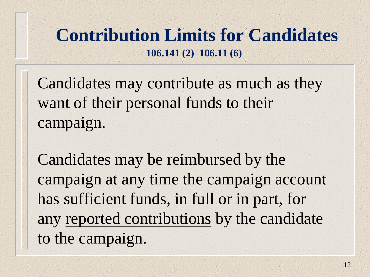#### **Contribution Limits for Candidates 106.141 (2) 106.11 (6)**

Candidates may contribute as much as they want of their personal funds to their campaign.

Candidates may be reimbursed by the campaign at any time the campaign account has sufficient funds, in full or in part, for any reported contributions by the candidate to the campaign.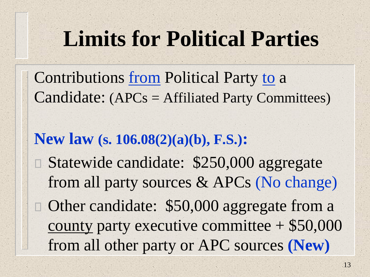# **Limits for Political Parties**

Contributions <u>from</u> Political Party to a Candidate: (APCs = Affiliated Party Committees)

#### **New law (s. 106.08(2)(a)(b), F.S.):**

Statewide candidate: \$250,000 aggregate from all party sources & APCs (No change) □ Other candidate: \$50,000 aggregate from a county party executive committee + \$50,000 from all other party or APC sources **(New)**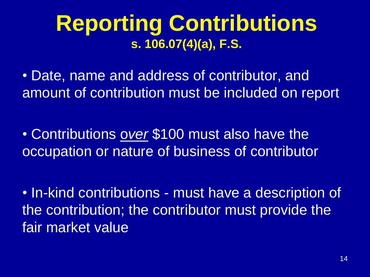### **Reporting Contributions s. 106.07(4)(a), F.S.**

• Date, name and address of contributor, and amount of contribution must be included on report

• Contributions o*ver* \$100 must also have the occupation or nature of business of contributor

• In-kind contributions - must have a description of the contribution; the contributor must provide the fair market value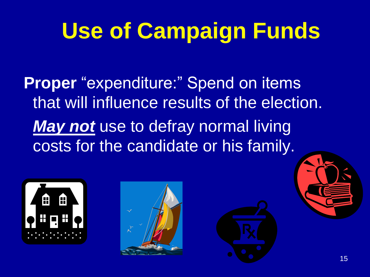# **Use of Campaign Funds**

**Proper** "expenditure:" Spend on items that will influence results of the election. *May not* use to defray normal living costs for the candidate or his family.



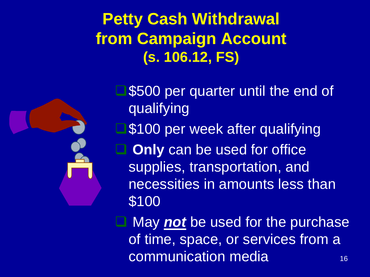#### **Petty Cash Withdrawal from Campaign Account (s. 106.12, FS)**



\$500 per quarter until the end of qualifying \$100 per week after qualifying **Only** can be used for office supplies, transportation, and necessities in amounts less than \$100

16 ❑ May *not* be used for the purchase of time, space, or services from a communication media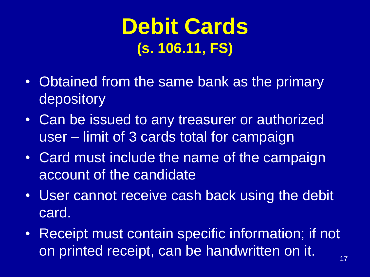### **Debit Cards (s. 106.11, FS)**

- Obtained from the same bank as the primary depository
- Can be issued to any treasurer or authorized user – limit of 3 cards total for campaign
- Card must include the name of the campaign account of the candidate
- User cannot receive cash back using the debit card.
- Receipt must contain specific information; if not on printed receipt, can be handwritten on it.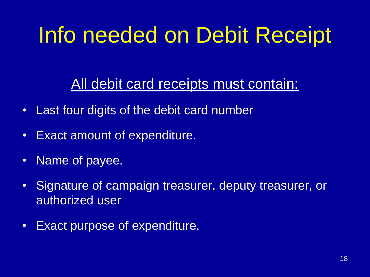# Info needed on Debit Receipt

All debit card receipts must contain:

- Last four digits of the debit card number
- Exact amount of expenditure.
- Name of payee.
- Signature of campaign treasurer, deputy treasurer, or authorized user
- Exact purpose of expenditure.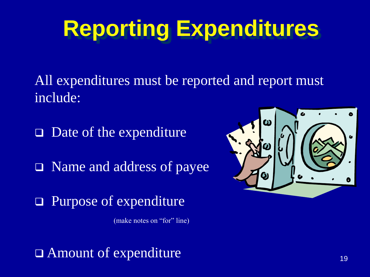# **Reporting Expenditures**

All expenditures must be reported and report must include:

❑ Date of the expenditure

❑ Name and address of payee

❑ Purpose of expenditure

(make notes on "for" line)

❑ Amount of expenditure

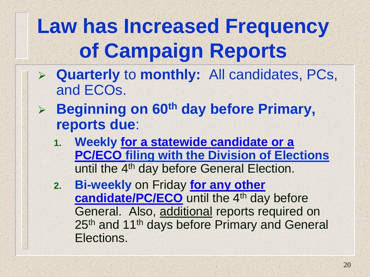# **Law has Increased Frequency of Campaign Reports**

- ➢ **Quarterly** to **monthly:** All candidates, PCs, and ECOs.
- ➢ **Beginning on 60th day before Primary, reports due**:
	- **1. Weekly for a statewide candidate or a PC/ECO filing with the Division of Elections** until the 4<sup>th</sup> day before General Election.
	- **2. Bi-weekly** on Friday **for any other candidate/PC/ECO** until the 4<sup>th</sup> day before General. Also, additional reports required on 25<sup>th</sup> and 11<sup>th</sup> days before Primary and General Elections.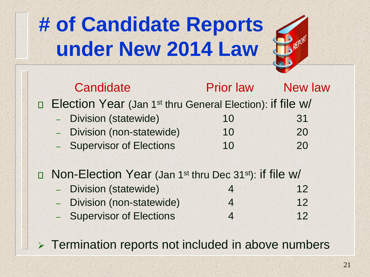# **# of Candidate Reports under New 2014 Law**



|                                                                                | Candidate                                                             | <b>Prior law</b> | <b>New law</b> |
|--------------------------------------------------------------------------------|-----------------------------------------------------------------------|------------------|----------------|
|                                                                                | Election Year (Jan 1 <sup>st</sup> thru General Election): if file w/ |                  |                |
|                                                                                | <b>Division (statewide)</b>                                           | 10               | 31             |
|                                                                                | - Division (non-statewide)                                            | 10               | 20             |
|                                                                                | - Supervisor of Elections                                             | 10               | 20             |
|                                                                                |                                                                       |                  |                |
| Non-Election Year (Jan 1 <sup>st</sup> thru Dec 31 <sup>st</sup> ): if file w/ |                                                                       |                  |                |
|                                                                                | <b>Division (statewide)</b><br>¥,                                     | $\overline{4}$   | 12             |
|                                                                                | Division (non-statewide)<br>$ ^{\circ}$                               | $\overline{4}$   | 12             |
|                                                                                | - Supervisor of Elections                                             | $\overline{4}$   | 12             |

➢ Termination reports not included in above numbers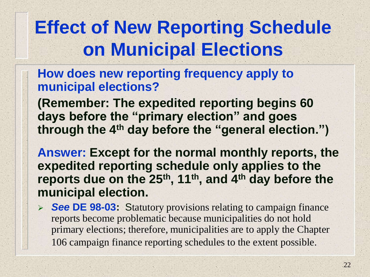### **Effect of New Reporting Schedule on Municipal Elections**

#### **How does new reporting frequency apply to municipal elections?**

**(Remember: The expedited reporting begins 60 days before the "primary election" and goes through the 4th day before the "general election.")** 

**Answer: Except for the normal monthly reports, the expedited reporting schedule only applies to the reports due on the 25th, 11th, and 4th day before the municipal election.** 

➢ *See* **DE 98-03:** Statutory provisions relating to campaign finance reports become problematic because municipalities do not hold primary elections; therefore, municipalities are to apply the Chapter 106 campaign finance reporting schedules to the extent possible.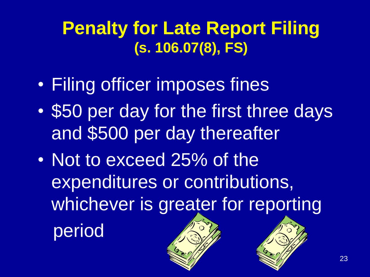### **Penalty for Late Report Filing (s. 106.07(8), FS)**

- Filing officer imposes fines
- \$50 per day for the first three days and \$500 per day thereafter
- Not to exceed 25% of the expenditures or contributions, whichever is greater for reporting

period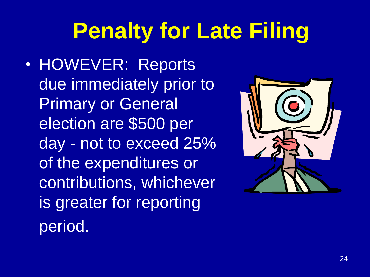# **Penalty for Late Filing**

• HOWEVER: Reports due immediately prior to Primary or General election are \$500 per day - not to exceed 25% of the expenditures or contributions, whichever is greater for reporting period.

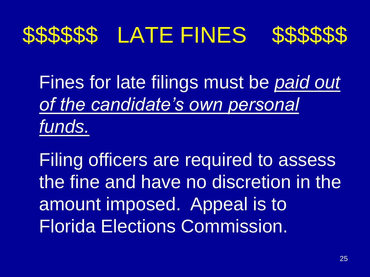# \$\$\$\$\$\$ LATE FINES \$\$\$\$\$\$



Fines for late filings must be *paid out of the candidate's own personal funds.*

Filing officers are required to assess the fine and have no discretion in the amount imposed. Appeal is to Florida Elections Commission.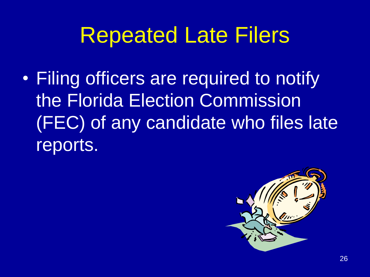# Repeated Late Filers

• Filing officers are required to notify the Florida Election Commission (FEC) of any candidate who files late reports.

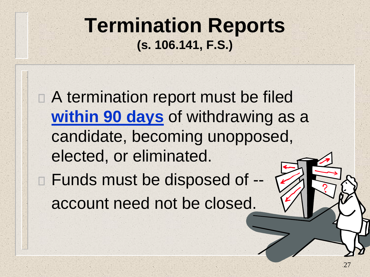#### **Termination Reports (s. 106.141, F.S.)**

□ A termination report must be filed **within 90 days** of withdrawing as a candidate, becoming unopposed, elected, or eliminated.

Funds must be disposed of - account need not be closed.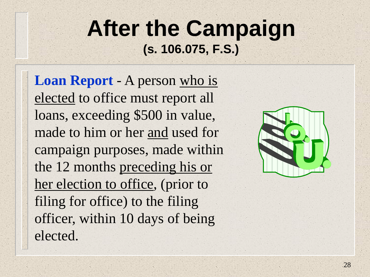### **After the Campaign (s. 106.075, F.S.)**

**Loan Report** - A person who is elected to office must report all loans, exceeding \$500 in value, made to him or her and used for campaign purposes, made within the 12 months preceding his or her election to office, (prior to filing for office) to the filing officer, within 10 days of being elected.

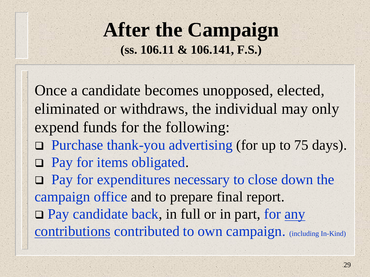#### **After the Campaign (ss. 106.11 & 106.141, F.S.)**

Once a candidate becomes unopposed, elected, eliminated or withdraws, the individual may only expend funds for the following: ❑ Purchase thank-you advertising (for up to 75 days). □ Pay for items obligated. ❑ Pay for expenditures necessary to close down the campaign office and to prepare final report. ❑ Pay candidate back, in full or in part, for any contributions contributed to own campaign. (including In-Kind)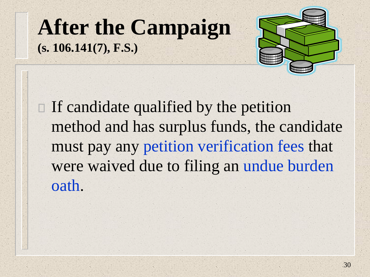### **After the Campaign (s. 106.141(7), F.S.)**



 $\Box$  If candidate qualified by the petition method and has surplus funds, the candidate must pay any petition verification fees that were waived due to filing an undue burden oath.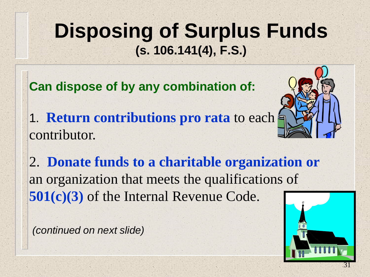### **Disposing of Surplus Funds (s. 106.141(4), F.S.)**

**Can dispose of by any combination of:** 

1. **Return contributions pro rata** to each contributor.



2. **Donate funds to a charitable organization or** an organization that meets the qualifications of **501(c)(3)** of the Internal Revenue Code.

*(continued on next slide)*

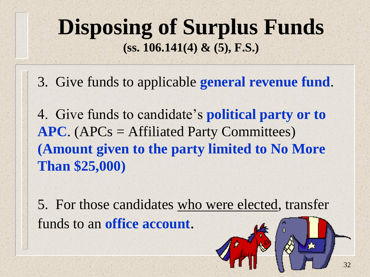### **Disposing of Surplus Funds (ss. 106.141(4) & (5), F.S.)**

3. Give funds to applicable **general revenue fund**.

4. Give funds to candidate's **political party or to APC**. (APCs = Affiliated Party Committees) **(Amount given to the party limited to No More Than \$25,000)**

5. For those candidates who were elected, transfer funds to an **office account**.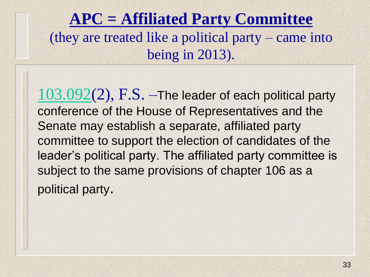#### **APC = Affiliated Party Committee**  (they are treated like a political party – came into being in 2013).

 $103.092(2)$  $103.092(2)$ , F.S. –The leader of each political party conference of the House of Representatives and the Senate may establish a separate, affiliated party committee to support the election of candidates of the leader's political party. The affiliated party committee is subject to the same provisions of chapter 106 as a political party.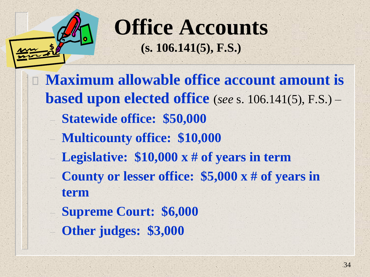

**Office Accounts (s. 106.141(5), F.S.)**

- □ Maximum allowable office account amount is **based upon elected office** (*see* s. 106.141(5), F.S.) – – **Statewide office: \$50,000** – **Multicounty office: \$10,000** – **Legislative: \$10,000 x # of years in term**  – **County or lesser office: \$5,000 x # of years in term**  – **Supreme Court: \$6,000**
	- **Other judges: \$3,000**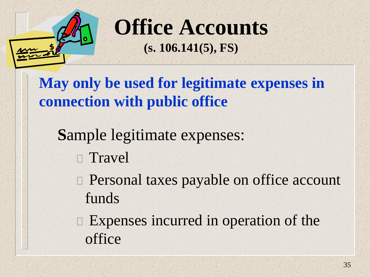

**Office Accounts (s. 106.141(5), FS)**

**May only be used for legitimate expenses in connection with public office** 

**S**ample legitimate expenses:

**Travel** 

□ Personal taxes payable on office account funds

□ Expenses incurred in operation of the office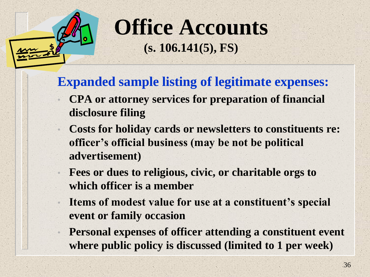

**Office Accounts (s. 106.141(5), FS)**

**Expanded sample listing of legitimate expenses:**

- **CPA or attorney services for preparation of financial disclosure filing**
- **Costs for holiday cards or newsletters to constituents re: officer's official business (may be not be political advertisement)**
- **Fees or dues to religious, civic, or charitable orgs to which officer is a member**
- **Items of modest value for use at a constituent's special event or family occasion**
- **Personal expenses of officer attending a constituent event where public policy is discussed (limited to 1 per week)**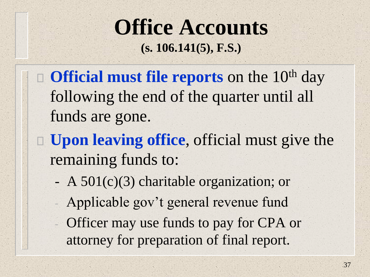### **Office Accounts (s. 106.141(5), F.S.)**

- **Official must file reports** on the 10<sup>th</sup> day following the end of the quarter until all funds are gone.
- **Upon leaving office**, official must give the remaining funds to:
	- A 501(c)(3) charitable organization; or
	- Applicable gov't general revenue fund
	- Officer may use funds to pay for CPA or attorney for preparation of final report.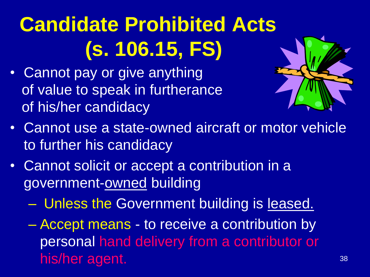# **Candidate Prohibited Acts (s. 106.15, FS)**

• Cannot pay or give anything of value to speak in furtherance of his/her candidacy



- Cannot use a state-owned aircraft or motor vehicle to further his candidacy
- Cannot solicit or accept a contribution in a government-owned building
	- Unless the Government building is leased.
	- Accept means to receive a contribution by personal hand delivery from a contributor or his/her agent.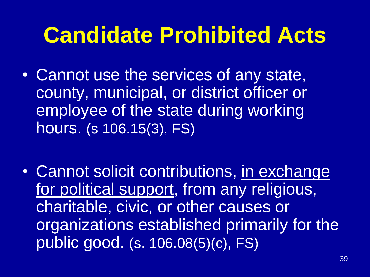# **Candidate Prohibited Acts**

- Cannot use the services of any state, county, municipal, or district officer or employee of the state during working hours. (s 106.15(3), FS)
- Cannot solicit contributions, in exchange for political support, from any religious, charitable, civic, or other causes or organizations established primarily for the public good. (s. 106.08(5)(c), FS)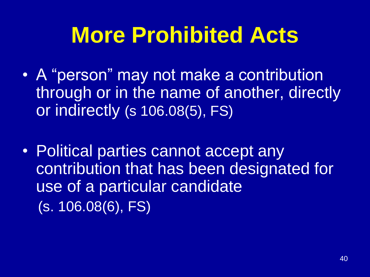# **More Prohibited Acts**

- A "person" may not make a contribution through or in the name of another, directly or indirectly (s 106.08(5), FS)
- Political parties cannot accept any contribution that has been designated for use of a particular candidate (s. 106.08(6), FS)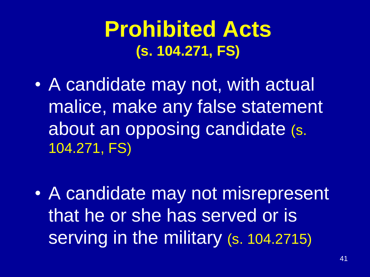### **Prohibited Acts (s. 104.271, FS)**

• A candidate may not, with actual malice, make any false statement about an opposing candidate (s. 104.271, FS)

• A candidate may not misrepresent that he or she has served or is serving in the military (s. 104.2715)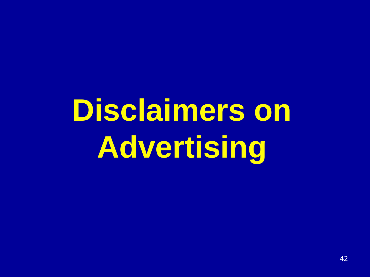# **Disclaimers on Advertising**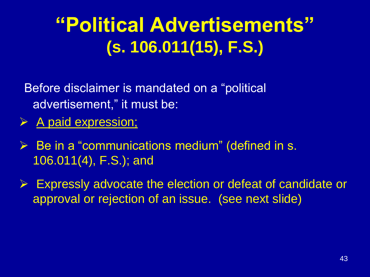### **"Political Advertisements" (s. 106.011(15), F.S.)**

Before disclaimer is mandated on a "political advertisement," it must be:

- ➢ A paid expression;
- $\triangleright$  Be in a "communications medium" (defined in s. 106.011(4), F.S.); and
- $\triangleright$  Expressly advocate the election or defeat of candidate or approval or rejection of an issue. (see next slide)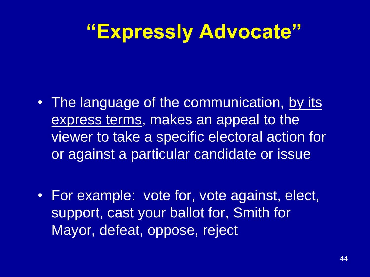## **"Expressly Advocate"**

- The language of the communication, by its express terms, makes an appeal to the viewer to take a specific electoral action for or against a particular candidate or issue
- For example: vote for, vote against, elect, support, cast your ballot for, Smith for Mayor, defeat, oppose, reject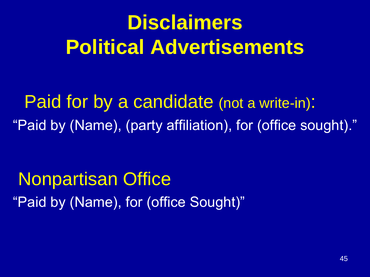# **Disclaimers Political Advertisements**

Paid for by a candidate (not a write-in): "Paid by (Name), (party affiliation), for (office sought)."

Nonpartisan Office "Paid by (Name), for (office Sought)"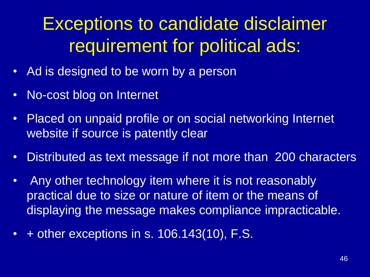### Exceptions to candidate disclaimer requirement for political ads:

- Ad is designed to be worn by a person
- No-cost blog on Internet
- Placed on unpaid profile or on social networking Internet website if source is patently clear
- Distributed as text message if not more than 200 characters
- Any other technology item where it is not reasonably practical due to size or nature of item or the means of displaying the message makes compliance impracticable.
- + other exceptions in s. 106.143(10), F.S.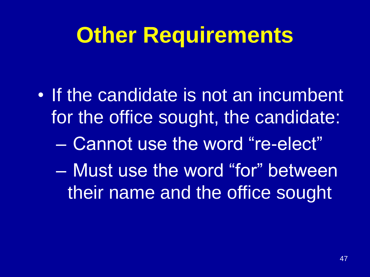# **Other Requirements**

- If the candidate is not an incumbent for the office sought, the candidate:
	- Cannot use the word "re-elect"
	- Must use the word "for" between their name and the office sought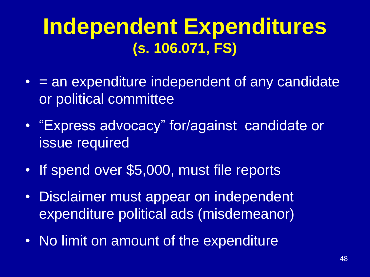### **Independent Expenditures (s. 106.071, FS)**

- $\bullet$  = an expenditure independent of any candidate or political committee
- "Express advocacy" for/against candidate or issue required
- If spend over \$5,000, must file reports
- Disclaimer must appear on independent expenditure political ads (misdemeanor)
- No limit on amount of the expenditure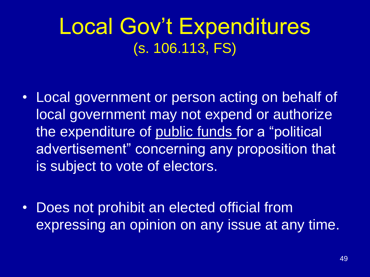### Local Gov't Expenditures (s. 106.113, FS)

- Local government or person acting on behalf of local government may not expend or authorize the expenditure of public funds for a "political advertisement" concerning any proposition that is subject to vote of electors.
- Does not prohibit an elected official from expressing an opinion on any issue at any time.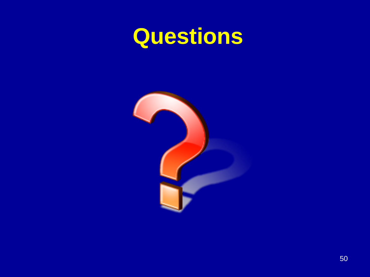# **Questions**

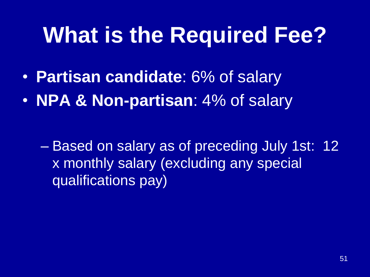# **What is the Required Fee?**

- **Partisan candidate**: 6% of salary
- **NPA & Non-partisan**: 4% of salary

– Based on salary as of preceding July 1st: 12 x monthly salary (excluding any special qualifications pay)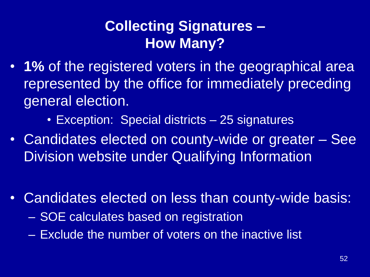#### **Collecting Signatures – How Many?**

- **1%** of the registered voters in the geographical area represented by the office for immediately preceding general election.
	- Exception: Special districts 25 signatures
- Candidates elected on county-wide or greater See **Division website under Qualifying Information**
- Candidates elected on less than county-wide basis:
	- SOE calculates based on registration
	- Exclude the number of voters on the inactive list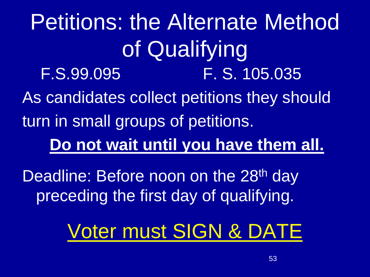Petitions: the Alternate Method of Qualifying F.S.99.095 F. S. 105.035 As candidates collect petitions they should turn in small groups of petitions. **Do not wait until you have them all.**  Deadline: Before noon on the 28<sup>th</sup> day preceding the first day of qualifying. Voter must SIGN & DATE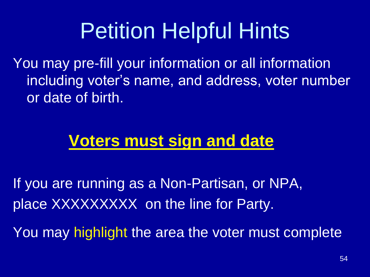# **Petition Helpful Hints**

You may pre-fill your information or all information including voter's name, and address, voter number or date of birth.

#### **Voters must sign and date**

If you are running as a Non-Partisan, or NPA, place XXXXXXXXX on the line for Party.

You may highlight the area the voter must complete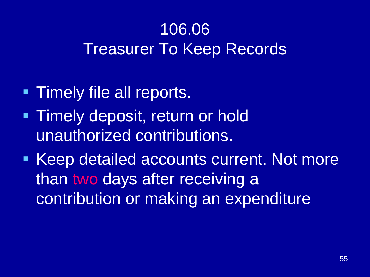### 106.06 Treasurer To Keep Records

- **EXTERGAL TRIMELY file all reports.**
- **Timely deposit, return or hold** unauthorized contributions.
- Keep detailed accounts current. Not more than two days after receiving a contribution or making an expenditure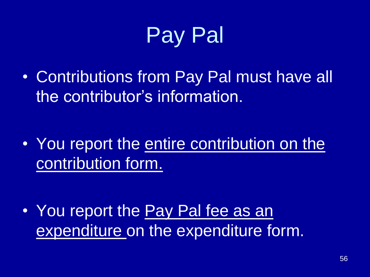

• Contributions from Pay Pal must have all the contributor's information.

• You report the entire contribution on the contribution form.

• You report the Pay Pal fee as an expenditure on the expenditure form.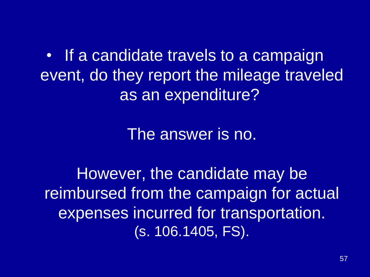• If a candidate travels to a campaign event, do they report the mileage traveled as an expenditure?

The answer is no.

However, the candidate may be reimbursed from the campaign for actual expenses incurred for transportation. (s. 106.1405, FS).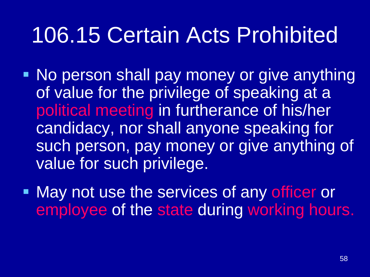# 106.15 Certain Acts Prohibited

- No person shall pay money or give anything of value for the privilege of speaking at a political meeting in furtherance of his/her candidacy, nor shall anyone speaking for such person, pay money or give anything of value for such privilege.
- May not use the services of any officer or employee of the state during working hours.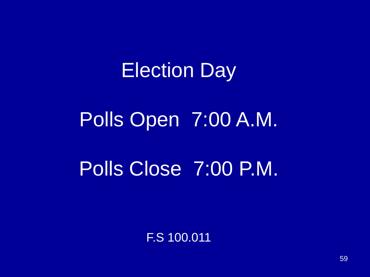# Election Day Polls Open 7:00 A.M. Polls Close 7:00 P.M.

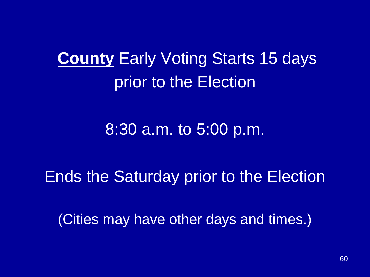**County** Early Voting Starts 15 days prior to the Election

8:30 a.m. to 5:00 p.m.

Ends the Saturday prior to the Election

(Cities may have other days and times.)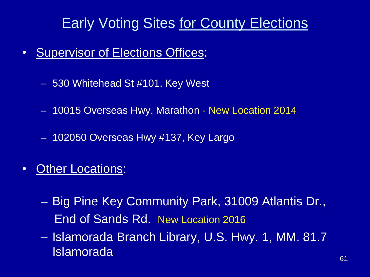#### Early Voting Sites for County Elections

- Supervisor of Elections Offices:
	- 530 Whitehead St #101, Key West
	- 10015 Overseas Hwy, Marathon New Location 2014
	- 102050 Overseas Hwy #137, Key Largo
- Other Locations:
	- Big Pine Key Community Park, 31009 Atlantis Dr., End of Sands Rd. New Location 2016
	- Islamorada Branch Library, U.S. Hwy. 1, MM. 81.7 Islamorada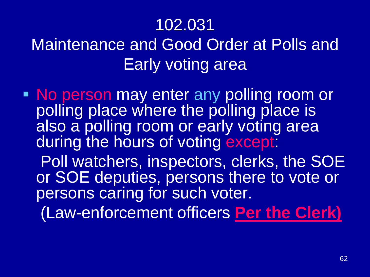#### 102.031

### Maintenance and Good Order at Polls and Early voting area

■ No person may enter any polling room or polling place where the polling place is also a polling room or early voting area during the hours of voting except: Poll watchers, inspectors, clerks, the SOE or SOE deputies, persons there to vote or persons caring for such voter. (Law-enforcement officers **Per the Clerk)**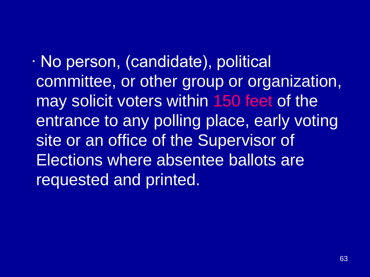∙ No person, (candidate), political committee, or other group or organization, may solicit voters within 150 feet of the entrance to any polling place, early voting site or an office of the Supervisor of Elections where absentee ballots are requested and printed.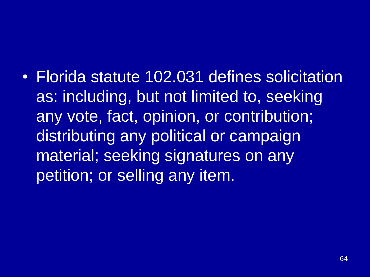• Florida statute 102.031 defines solicitation as: including, but not limited to, seeking any vote, fact, opinion, or contribution; distributing any political or campaign material; seeking signatures on any petition; or selling any item.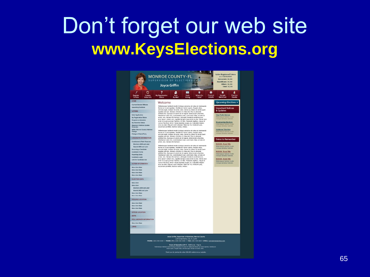### Don't forget our web site **www.KeysElections.org**



it morbi tristique senectus et netus et malesuada fames ac turpis egestas. Vestibulur<br>tortor quam, feugiat vitae, ultricies eget, tempor sit amet, ante.